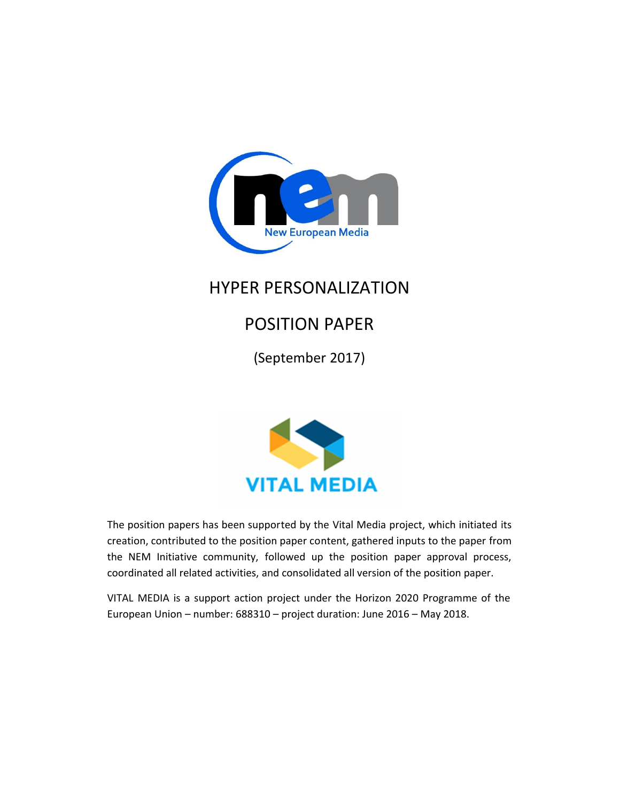

# HYPER PERSONALIZATION

# POSITION PAPER

(September 2017)



The position papers has been supported by the Vital Media project, which initiated its creation, contributed to the position paper content, gathered inputs to the paper from the NEM Initiative community, followed up the position paper approval process, coordinated all related activities, and consolidated all version of the position paper.

VITAL MEDIA is a support action project under the Horizon 2020 Programme of the European Union – number: 688310 – project duration: June 2016 – May 2018.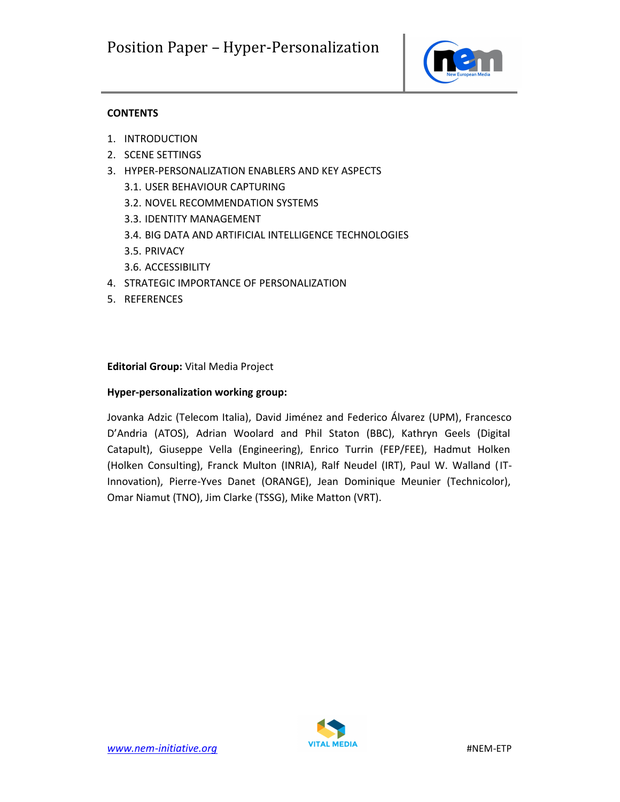

## **CONTENTS**

- 1. INTRODUCTION
- 2. SCENE SETTINGS
- 3. HYPER-PERSONALIZATION ENABLERS AND KEY ASPECTS
	- 3.1. USER BEHAVIOUR CAPTURING
	- 3.2. NOVEL RECOMMENDATION SYSTEMS
	- 3.3. IDENTITY MANAGEMENT
	- 3.4. BIG DATA AND ARTIFICIAL INTELLIGENCE TECHNOLOGIES
	- 3.5. PRIVACY
	- 3.6. ACCESSIBILITY
- 4. STRATEGIC IMPORTANCE OF PERSONALIZATION
- 5. REFERENCES

## **Editorial Group:** Vital Media Project

## **Hyper-personalization working group:**

Jovanka Adzic (Telecom Italia), David Jiménez and Federico Álvarez (UPM), Francesco D'Andria (ATOS), Adrian Woolard and Phil Staton (BBC), Kathryn Geels (Digital Catapult), Giuseppe Vella (Engineering), Enrico Turrin (FEP/FEE), Hadmut Holken (Holken Consulting), Franck Multon (INRIA), Ralf Neudel (IRT), Paul W. Walland (IT-Innovation), Pierre-Yves Danet (ORANGE), Jean Dominique Meunier (Technicolor), Omar Niamut (TNO), Jim Clarke (TSSG), Mike Matton (VRT).

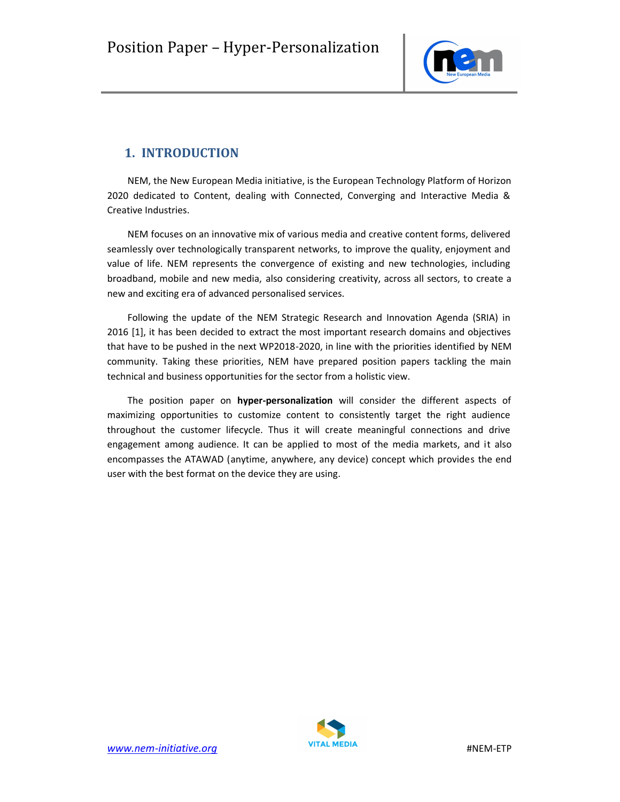

# **1. INTRODUCTION**

NEM, the New European Media initiative, is the European Technology Platform of Horizon 2020 dedicated to Content, dealing with Connected, Converging and Interactive Media & Creative Industries.

NEM focuses on an innovative mix of various media and creative content forms, delivered seamlessly over technologically transparent networks, to improve the quality, enjoyment and value of life. NEM represents the convergence of existing and new technologies, including broadband, mobile and new media, also considering creativity, across all sectors, to create a new and exciting era of advanced personalised services.

Following the update of the NEM Strategic Research and Innovation Agenda (SRIA) in 2016 [1], it has been decided to extract the most important research domains and objectives that have to be pushed in the next WP2018-2020, in line with the priorities identified by NEM community. Taking these priorities, NEM have prepared position papers tackling the main technical and business opportunities for the sector from a holistic view.

The position paper on **hyper-personalization** will consider the different aspects of maximizing opportunities to customize content to consistently target the right audience throughout the customer lifecycle. Thus it will create meaningful connections and drive engagement among audience. It can be applied to most of the media markets, and it also encompasses the ATAWAD (anytime, anywhere, any device) concept which provides the end user with the best format on the device they are using.

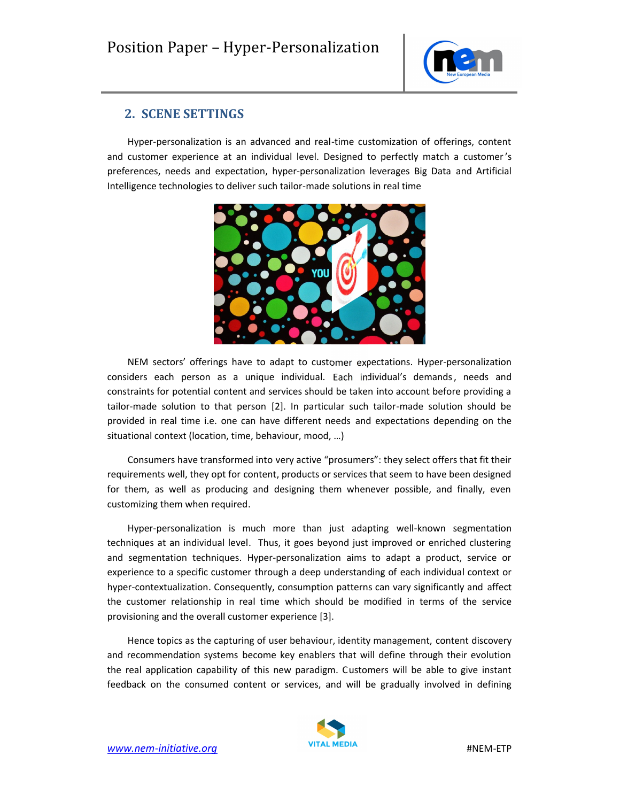

# **2. SCENE SETTINGS**

Hyper-personalization is an advanced and real-time customization of offerings, content and customer experience at an individual level. Designed to perfectly match a customer's preferences, needs and expectation, hyper-personalization leverages Big Data and Artificial Intelligence technologies to deliver such tailor-made solutions in real time



NEM sectors' offerings have to adapt to customer expectations. Hyper-personalization considers each person as a unique individual. Each individual's demands, needs and constraints for potential content and services should be taken into account before providing a tailor-made solution to that person [2]. In particular such tailor-made solution should be provided in real time i.e. one can have different needs and expectations depending on the situational context (location, time, behaviour, mood, …)

Consumers have transformed into very active "prosumers": they select offers that fit their requirements well, they opt for content, products or services that seem to have been designed for them, as well as producing and designing them whenever possible, and finally, even customizing them when required.

Hyper-personalization is much more than just adapting well-known segmentation techniques at an individual level. Thus, it goes beyond just improved or enriched clustering and segmentation techniques. Hyper-personalization aims to adapt a product, service or experience to a specific customer through a deep understanding of each individual context or hyper-contextualization. Consequently, consumption patterns can vary significantly and affect the customer relationship in real time which should be modified in terms of the service provisioning and the overall customer experience [3].

Hence topics as the capturing of user behaviour, identity management, content discovery and recommendation systems become key enablers that will define through their evolution the real application capability of this new paradigm. Customers will be able to give instant feedback on the consumed content or services, and will be gradually involved in defining

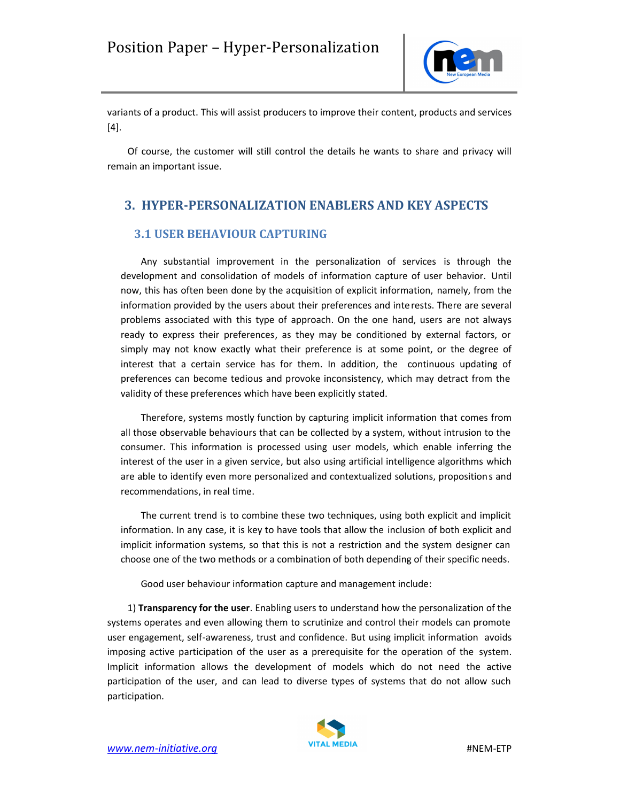

variants of a product. This will assist producers to improve their content, products and services [4].

Of course, the customer will still control the details he wants to share and privacy will remain an important issue.

# **3. HYPER-PERSONALIZATION ENABLERS AND KEY ASPECTS**

# **3.1 USER BEHAVIOUR CAPTURING**

Any substantial improvement in the personalization of services is through the development and consolidation of models of information capture of user behavior. Until now, this has often been done by the acquisition of explicit information, namely, from the information provided by the users about their preferences and interests. There are several problems associated with this type of approach. On the one hand, users are not always ready to express their preferences, as they may be conditioned by external factors, or simply may not know exactly what their preference is at some point, or the degree of interest that a certain service has for them. In addition, the continuous updating of preferences can become tedious and provoke inconsistency, which may detract from the validity of these preferences which have been explicitly stated.

Therefore, systems mostly function by capturing implicit information that comes from all those observable behaviours that can be collected by a system, without intrusion to the consumer. This information is processed using user models, which enable inferring the interest of the user in a given service, but also using artificial intelligence algorithms which are able to identify even more personalized and contextualized solutions, propositions and recommendations, in real time.

The current trend is to combine these two techniques, using both explicit and implicit information. In any case, it is key to have tools that allow the inclusion of both explicit and implicit information systems, so that this is not a restriction and the system designer can choose one of the two methods or a combination of both depending of their specific needs.

Good user behaviour information capture and management include:

1) **Transparency for the user**. Enabling users to understand how the personalization of the systems operates and even allowing them to scrutinize and control their models can promote user engagement, self-awareness, trust and confidence. But using implicit information avoids imposing active participation of the user as a prerequisite for the operation of the system. Implicit information allows the development of models which do not need the active participation of the user, and can lead to diverse types of systems that do not allow such participation.

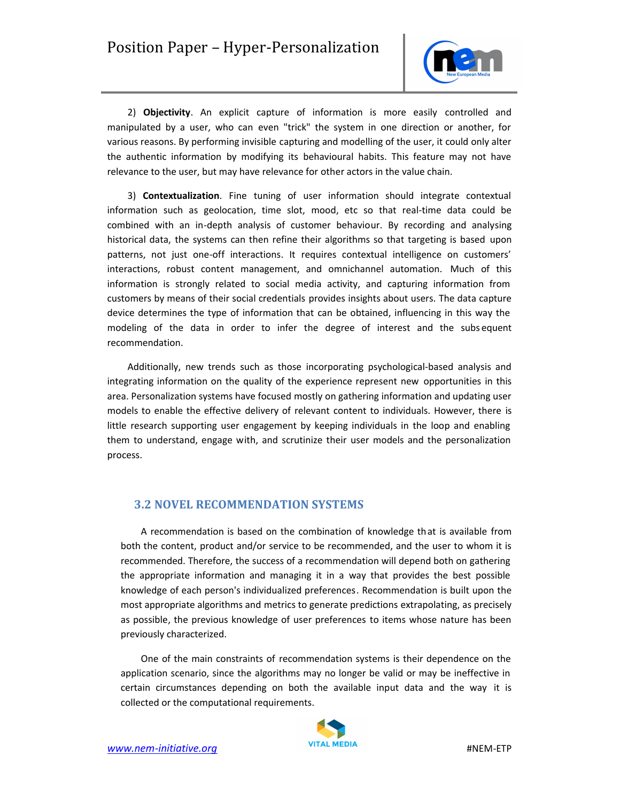

2) **Objectivity**. An explicit capture of information is more easily controlled and manipulated by a user, who can even "trick" the system in one direction or another, for various reasons. By performing invisible capturing and modelling of the user, it could only alter the authentic information by modifying its behavioural habits. This feature may not have relevance to the user, but may have relevance for other actors in the value chain.

3) **Contextualization**. Fine tuning of user information should integrate contextual information such as geolocation, time slot, mood, etc so that real-time data could be combined with an in-depth analysis of customer behaviour. By recording and analysing historical data, the systems can then refine their algorithms so that targeting is based upon patterns, not just one-off interactions. It requires contextual intelligence on customers' interactions, robust content management, and omnichannel automation. Much of this information is strongly related to social media activity, and capturing information from customers by means of their social credentials provides insights about users. The data capture device determines the type of information that can be obtained, influencing in this way the modeling of the data in order to infer the degree of interest and the subs equent recommendation.

Additionally, new trends such as those incorporating psychological-based analysis and integrating information on the quality of the experience represent new opportunities in this area. Personalization systems have focused mostly on gathering information and updating user models to enable the effective delivery of relevant content to individuals. However, there is little research supporting user engagement by keeping individuals in the loop and enabling them to understand, engage with, and scrutinize their user models and the personalization process.

## **3.2 NOVEL RECOMMENDATION SYSTEMS**

A recommendation is based on the combination of knowledge that is available from both the content, product and/or service to be recommended, and the user to whom it is recommended. Therefore, the success of a recommendation will depend both on gathering the appropriate information and managing it in a way that provides the best possible knowledge of each person's individualized preferences. Recommendation is built upon the most appropriate algorithms and metrics to generate predictions extrapolating, as precisely as possible, the previous knowledge of user preferences to items whose nature has been previously characterized.

One of the main constraints of recommendation systems is their dependence on the application scenario, since the algorithms may no longer be valid or may be ineffective in certain circumstances depending on both the available input data and the way it is collected or the computational requirements.

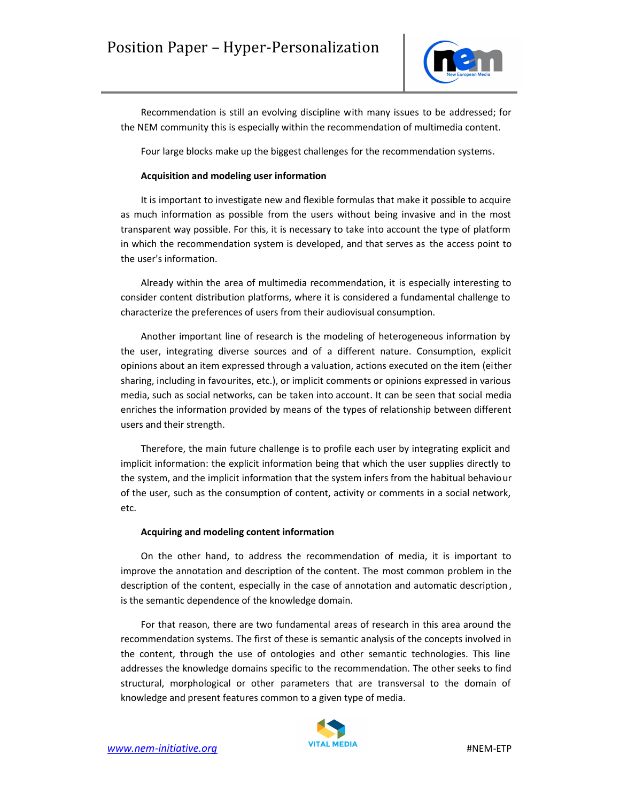

Recommendation is still an evolving discipline with many issues to be addressed; for the NEM community this is especially within the recommendation of multimedia content.

Four large blocks make up the biggest challenges for the recommendation systems.

#### **Acquisition and modeling user information**

It is important to investigate new and flexible formulas that make it possible to acquire as much information as possible from the users without being invasive and in the most transparent way possible. For this, it is necessary to take into account the type of platform in which the recommendation system is developed, and that serves as the access point to the user's information.

Already within the area of multimedia recommendation, it is especially interesting to consider content distribution platforms, where it is considered a fundamental challenge to characterize the preferences of users from their audiovisual consumption.

Another important line of research is the modeling of heterogeneous information by the user, integrating diverse sources and of a different nature. Consumption, explicit opinions about an item expressed through a valuation, actions executed on the item (either sharing, including in favourites, etc.), or implicit comments or opinions expressed in various media, such as social networks, can be taken into account. It can be seen that social media enriches the information provided by means of the types of relationship between different users and their strength.

Therefore, the main future challenge is to profile each user by integrating explicit and implicit information: the explicit information being that which the user supplies directly to the system, and the implicit information that the system infers from the habitual behaviour of the user, such as the consumption of content, activity or comments in a social network, etc.

#### **Acquiring and modeling content information**

On the other hand, to address the recommendation of media, it is important to improve the annotation and description of the content. The most common problem in the description of the content, especially in the case of annotation and automatic description , is the semantic dependence of the knowledge domain.

For that reason, there are two fundamental areas of research in this area around the recommendation systems. The first of these is semantic analysis of the concepts involved in the content, through the use of ontologies and other semantic technologies. This line addresses the knowledge domains specific to the recommendation. The other seeks to find structural, morphological or other parameters that are transversal to the domain of knowledge and present features common to a given type of media.

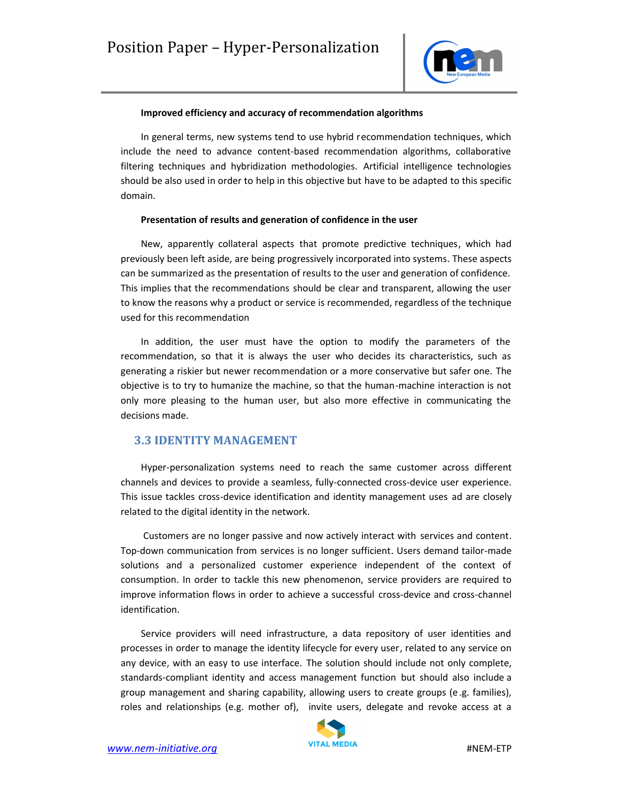

#### **Improved efficiency and accuracy of recommendation algorithms**

In general terms, new systems tend to use hybrid recommendation techniques, which include the need to advance content-based recommendation algorithms, collaborative filtering techniques and hybridization methodologies. Artificial intelligence technologies should be also used in order to help in this objective but have to be adapted to this specific domain.

#### **Presentation of results and generation of confidence in the user**

New, apparently collateral aspects that promote predictive techniques, which had previously been left aside, are being progressively incorporated into systems. These aspects can be summarized as the presentation of results to the user and generation of confidence. This implies that the recommendations should be clear and transparent, allowing the user to know the reasons why a product or service is recommended, regardless of the technique used for this recommendation

In addition, the user must have the option to modify the parameters of the recommendation, so that it is always the user who decides its characteristics, such as generating a riskier but newer recommendation or a more conservative but safer one. The objective is to try to humanize the machine, so that the human-machine interaction is not only more pleasing to the human user, but also more effective in communicating the decisions made.

#### **3.3 IDENTITY MANAGEMENT**

Hyper-personalization systems need to reach the same customer across different channels and devices to provide a seamless, fully-connected cross-device user experience. This issue tackles cross-device identification and identity management uses ad are closely related to the digital identity in the network.

Customers are no longer passive and now actively interact with services and content. Top-down communication from services is no longer sufficient. Users demand tailor-made solutions and a personalized customer experience independent of the context of consumption. In order to tackle this new phenomenon, service providers are required to improve information flows in order to achieve a successful cross-device and cross-channel identification.

Service providers will need infrastructure, a data repository of user identities and processes in order to manage the identity lifecycle for every user, related to any service on any device, with an easy to use interface. The solution should include not only complete, standards-compliant identity and access management function but should also include a group management and sharing capability, allowing users to create groups (e .g. families), roles and relationships (e.g. mother of), invite users, delegate and revoke access at a

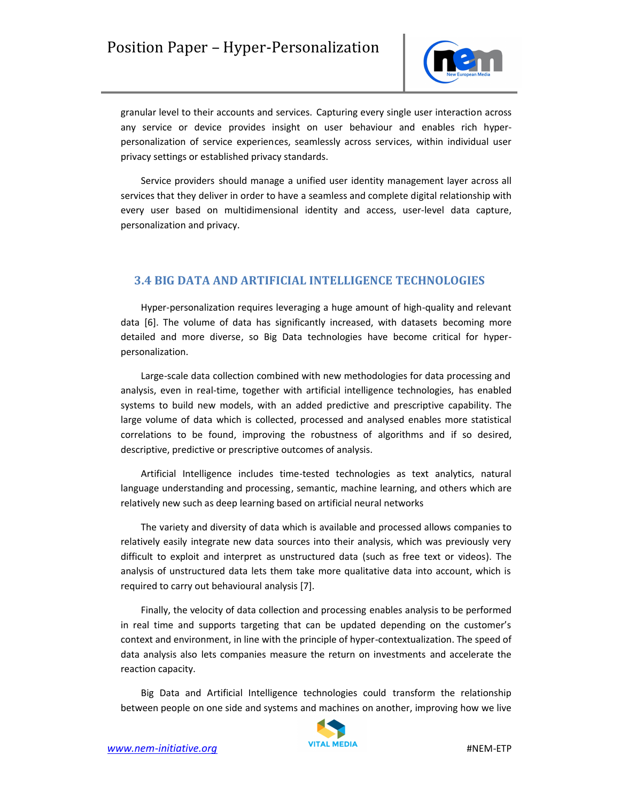

granular level to their accounts and services. Capturing every single user interaction across any service or device provides insight on user behaviour and enables rich hyperpersonalization of service experiences, seamlessly across services, within individual user privacy settings or established privacy standards.

Service providers should manage a unified user identity management layer across all services that they deliver in order to have a seamless and complete digital relationship with every user based on multidimensional identity and access, user-level data capture, personalization and privacy.

## **3.4 BIG DATA AND ARTIFICIAL INTELLIGENCE TECHNOLOGIES**

Hyper-personalization requires leveraging a huge amount of high-quality and relevant data [6]. The volume of data has significantly increased, with datasets becoming more detailed and more diverse, so Big Data technologies have become critical for hyperpersonalization.

Large-scale data collection combined with new methodologies for data processing and analysis, even in real-time, together with artificial intelligence technologies, has enabled systems to build new models, with an added predictive and prescriptive capability. The large volume of data which is collected, processed and analysed enables more statistical correlations to be found, improving the robustness of algorithms and if so desired, descriptive, predictive or prescriptive outcomes of analysis.

Artificial Intelligence includes time-tested technologies as text analytics, natural language understanding and processing, semantic, machine learning, and others which are relatively new such as deep learning based on artificial neural networks

The variety and diversity of data which is available and processed allows companies to relatively easily integrate new data sources into their analysis, which was previously very difficult to exploit and interpret as unstructured data (such as free text or videos). The analysis of unstructured data lets them take more qualitative data into account, which is required to carry out behavioural analysis [7].

Finally, the velocity of data collection and processing enables analysis to be performed in real time and supports targeting that can be updated depending on the customer's context and environment, in line with the principle of hyper-contextualization. The speed of data analysis also lets companies measure the return on investments and accelerate the reaction capacity.

Big Data and Artificial Intelligence technologies could transform the relationship between people on one side and systems and machines on another, improving how we live

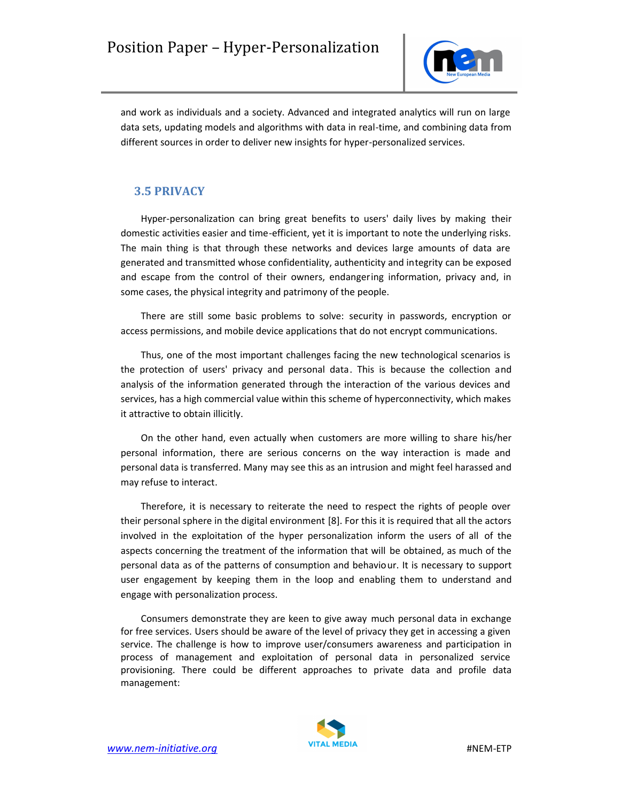

and work as individuals and a society. Advanced and integrated analytics will run on large data sets, updating models and algorithms with data in real-time, and combining data from different sources in order to deliver new insights for hyper-personalized services.

## **3.5 PRIVACY**

Hyper-personalization can bring great benefits to users' daily lives by making their domestic activities easier and time-efficient, yet it is important to note the underlying risks. The main thing is that through these networks and devices large amounts of data are generated and transmitted whose confidentiality, authenticity and integrity can be exposed and escape from the control of their owners, endangering information, privacy and, in some cases, the physical integrity and patrimony of the people.

There are still some basic problems to solve: security in passwords, encryption or access permissions, and mobile device applications that do not encrypt communications.

Thus, one of the most important challenges facing the new technological scenarios is the protection of users' privacy and personal data. This is because the collection and analysis of the information generated through the interaction of the various devices and services, has a high commercial value within this scheme of hyperconnectivity, which makes it attractive to obtain illicitly.

On the other hand, even actually when customers are more willing to share his/her personal information, there are serious concerns on the way interaction is made and personal data is transferred. Many may see this as an intrusion and might feel harassed and may refuse to interact.

Therefore, it is necessary to reiterate the need to respect the rights of people over their personal sphere in the digital environment [8]. For this it is required that all the actors involved in the exploitation of the hyper personalization inform the users of all of the aspects concerning the treatment of the information that will be obtained, as much of the personal data as of the patterns of consumption and behaviour. It is necessary to support user engagement by keeping them in the loop and enabling them to understand and engage with personalization process.

Consumers demonstrate they are keen to give away much personal data in exchange for free services. Users should be aware of the level of privacy they get in accessing a given service. The challenge is how to improve user/consumers awareness and participation in process of management and exploitation of personal data in personalized service provisioning. There could be different approaches to private data and profile data management:

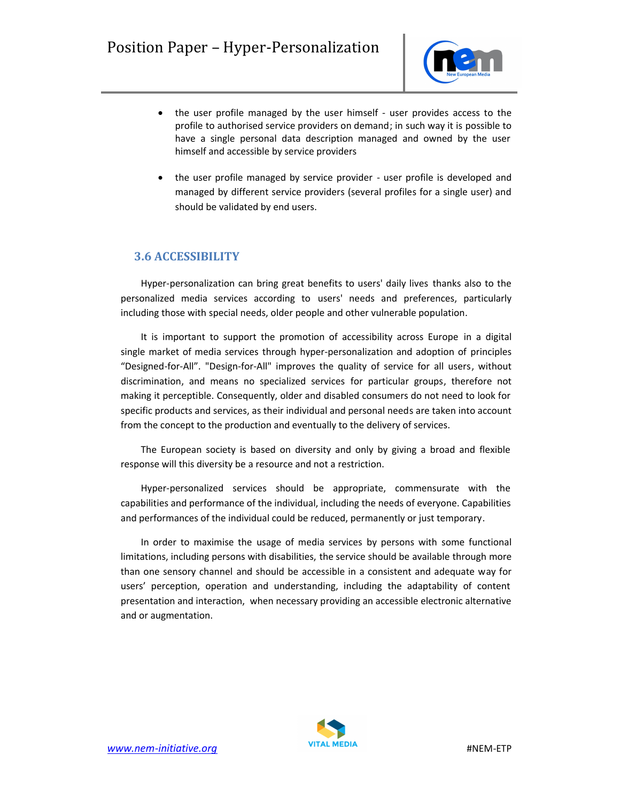

- the user profile managed by the user himself user provides access to the profile to authorised service providers on demand; in such way it is possible to have a single personal data description managed and owned by the user himself and accessible by service providers
- the user profile managed by service provider user profile is developed and managed by different service providers (several profiles for a single user) and should be validated by end users.

## **3.6 ACCESSIBILITY**

Hyper-personalization can bring great benefits to users' daily lives thanks also to the personalized media services according to users' needs and preferences, particularly including those with special needs, older people and other vulnerable population.

It is important to support the promotion of accessibility across Europe in a digital single market of media services through hyper-personalization and adoption of principles "Designed-for-All". "Design-for-All" improves the quality of service for all users, without discrimination, and means no specialized services for particular groups, therefore not making it perceptible. Consequently, older and disabled consumers do not need to look for specific products and services, as their individual and personal needs are taken into account from the concept to the production and eventually to the delivery of services.

The European society is based on diversity and only by giving a broad and flexible response will this diversity be a resource and not a restriction.

Hyper-personalized services should be appropriate, commensurate with the capabilities and performance of the individual, including the needs of everyone. Capabilities and performances of the individual could be reduced, permanently or just temporary.

In order to maximise the usage of media services by persons with some functional limitations, including persons with disabilities, the service should be available through more than one sensory channel and should be accessible in a consistent and adequate way for users' perception, operation and understanding, including the adaptability of content presentation and interaction, when necessary providing an accessible electronic alternative and or augmentation.

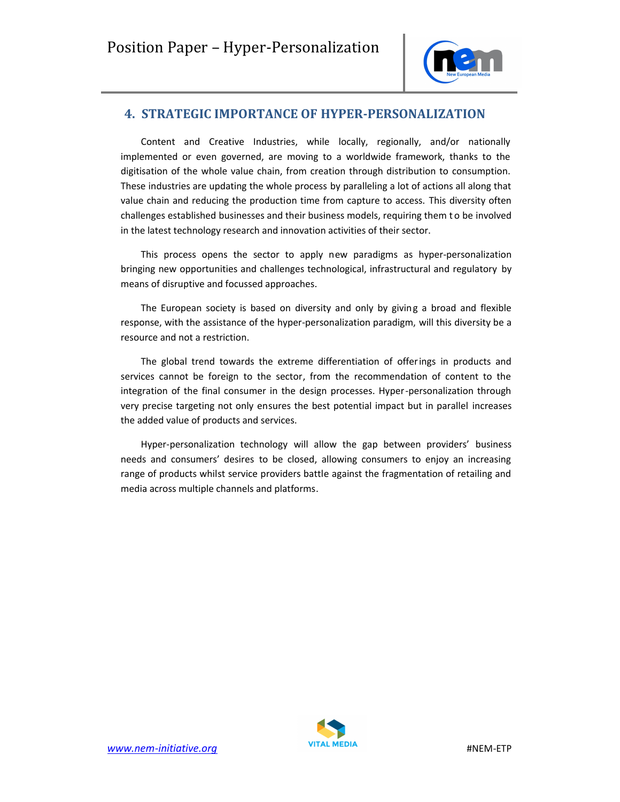

# **4. STRATEGIC IMPORTANCE OF HYPER-PERSONALIZATION**

Content and Creative Industries, while locally, regionally, and/or nationally implemented or even governed, are moving to a worldwide framework, thanks to the digitisation of the whole value chain, from creation through distribution to consumption. These industries are updating the whole process by paralleling a lot of actions all along that value chain and reducing the production time from capture to access. This diversity often challenges established businesses and their business models, requiring them to be involved in the latest technology research and innovation activities of their sector.

This process opens the sector to apply new paradigms as hyper-personalization bringing new opportunities and challenges technological, infrastructural and regulatory by means of disruptive and focussed approaches.

The European society is based on diversity and only by giving a broad and flexible response, with the assistance of the hyper-personalization paradigm, will this diversity be a resource and not a restriction.

The global trend towards the extreme differentiation of offerings in products and services cannot be foreign to the sector, from the recommendation of content to the integration of the final consumer in the design processes. Hyper-personalization through very precise targeting not only ensures the best potential impact but in parallel increases the added value of products and services.

Hyper-personalization technology will allow the gap between providers' business needs and consumers' desires to be closed, allowing consumers to enjoy an increasing range of products whilst service providers battle against the fragmentation of retailing and media across multiple channels and platforms.